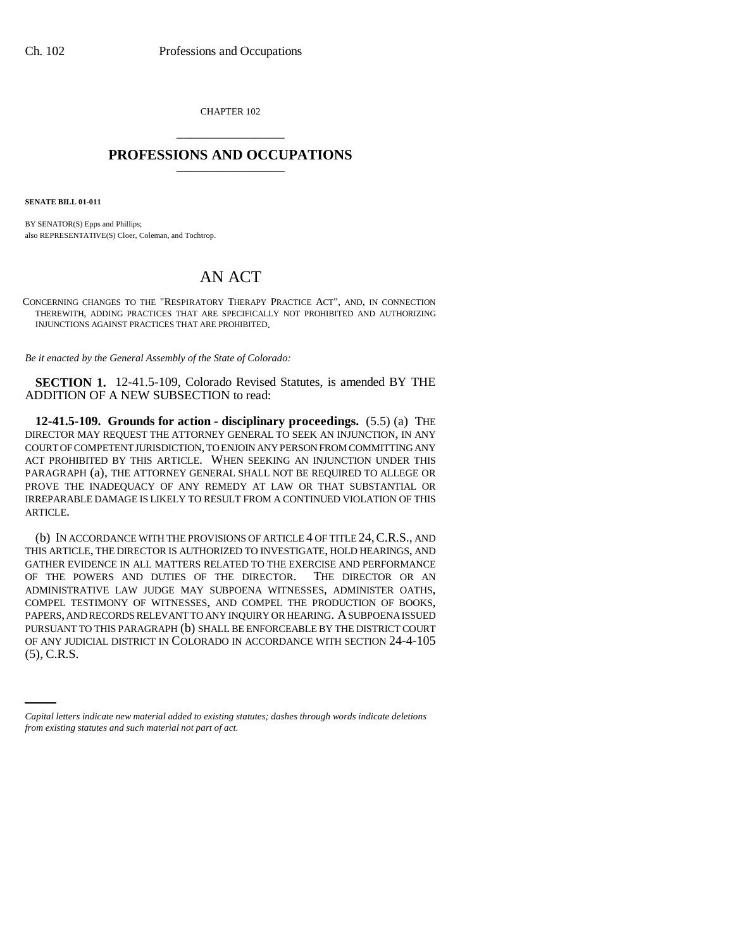CHAPTER 102 \_\_\_\_\_\_\_\_\_\_\_\_\_\_\_

## **PROFESSIONS AND OCCUPATIONS** \_\_\_\_\_\_\_\_\_\_\_\_\_\_\_

**SENATE BILL 01-011**

BY SENATOR(S) Epps and Phillips; also REPRESENTATIVE(S) Cloer, Coleman, and Tochtrop.

## AN ACT

CONCERNING CHANGES TO THE "RESPIRATORY THERAPY PRACTICE ACT", AND, IN CONNECTION THEREWITH, ADDING PRACTICES THAT ARE SPECIFICALLY NOT PROHIBITED AND AUTHORIZING INJUNCTIONS AGAINST PRACTICES THAT ARE PROHIBITED.

*Be it enacted by the General Assembly of the State of Colorado:*

**SECTION 1.** 12-41.5-109, Colorado Revised Statutes, is amended BY THE ADDITION OF A NEW SUBSECTION to read:

**12-41.5-109. Grounds for action - disciplinary proceedings.** (5.5) (a) THE DIRECTOR MAY REQUEST THE ATTORNEY GENERAL TO SEEK AN INJUNCTION, IN ANY COURT OF COMPETENT JURISDICTION, TO ENJOIN ANY PERSON FROM COMMITTING ANY ACT PROHIBITED BY THIS ARTICLE. WHEN SEEKING AN INJUNCTION UNDER THIS PARAGRAPH (a), THE ATTORNEY GENERAL SHALL NOT BE REQUIRED TO ALLEGE OR PROVE THE INADEQUACY OF ANY REMEDY AT LAW OR THAT SUBSTANTIAL OR IRREPARABLE DAMAGE IS LIKELY TO RESULT FROM A CONTINUED VIOLATION OF THIS ARTICLE.

OF ANY JUDICIAL DISTRICT IN COLORADO IN ACCORDANCE WITH SECTION 24-4-105 (b) IN ACCORDANCE WITH THE PROVISIONS OF ARTICLE 4 OF TITLE 24,C.R.S., AND THIS ARTICLE, THE DIRECTOR IS AUTHORIZED TO INVESTIGATE, HOLD HEARINGS, AND GATHER EVIDENCE IN ALL MATTERS RELATED TO THE EXERCISE AND PERFORMANCE OF THE POWERS AND DUTIES OF THE DIRECTOR. THE DIRECTOR OR AN ADMINISTRATIVE LAW JUDGE MAY SUBPOENA WITNESSES, ADMINISTER OATHS, COMPEL TESTIMONY OF WITNESSES, AND COMPEL THE PRODUCTION OF BOOKS, PAPERS, AND RECORDS RELEVANT TO ANY INQUIRY OR HEARING. A SUBPOENA ISSUED PURSUANT TO THIS PARAGRAPH (b) SHALL BE ENFORCEABLE BY THE DISTRICT COURT (5), C.R.S.

*Capital letters indicate new material added to existing statutes; dashes through words indicate deletions from existing statutes and such material not part of act.*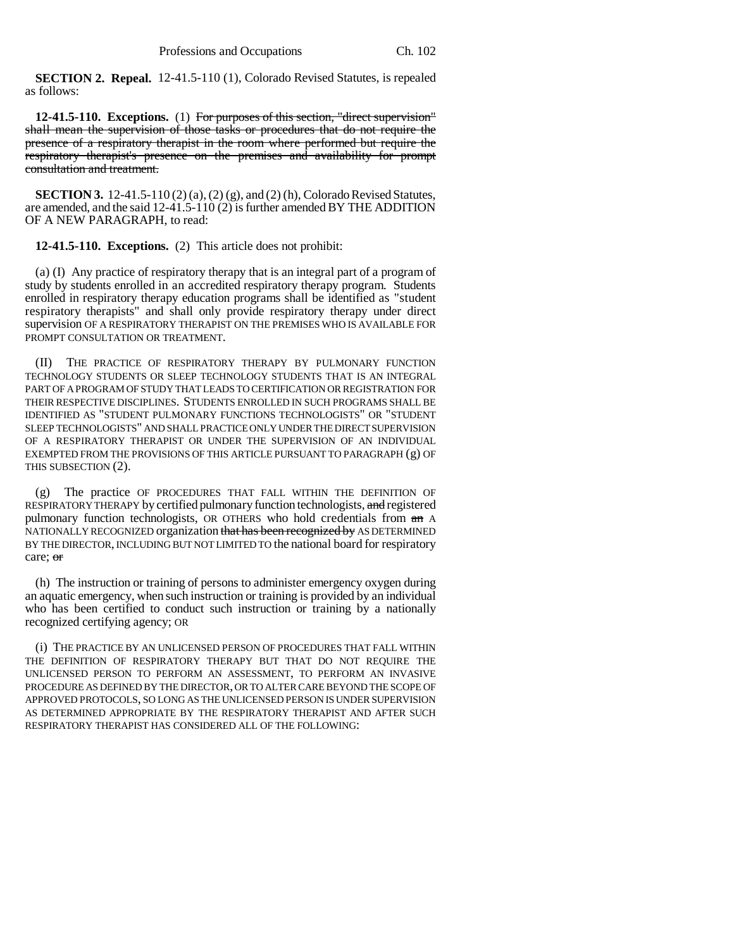**SECTION 2. Repeal.** 12-41.5-110 (1), Colorado Revised Statutes, is repealed as follows:

**12-41.5-110. Exceptions.** (1) For purposes of this section, "direct supervision" shall mean the supervision of those tasks or procedures that do not require the presence of a respiratory therapist in the room where performed but require the respiratory therapist's presence on the premises and availability for prompt consultation and treatment.

**SECTION 3.** 12-41.5-110 (2) (a), (2) (g), and (2) (h), Colorado Revised Statutes, are amended, and the said 12-41.5-110 (2) is further amended BY THE ADDITION OF A NEW PARAGRAPH, to read:

**12-41.5-110. Exceptions.** (2) This article does not prohibit:

(a) (I) Any practice of respiratory therapy that is an integral part of a program of study by students enrolled in an accredited respiratory therapy program. Students enrolled in respiratory therapy education programs shall be identified as "student respiratory therapists" and shall only provide respiratory therapy under direct supervision OF A RESPIRATORY THERAPIST ON THE PREMISES WHO IS AVAILABLE FOR PROMPT CONSULTATION OR TREATMENT.

(II) THE PRACTICE OF RESPIRATORY THERAPY BY PULMONARY FUNCTION TECHNOLOGY STUDENTS OR SLEEP TECHNOLOGY STUDENTS THAT IS AN INTEGRAL PART OF A PROGRAM OF STUDY THAT LEADS TO CERTIFICATION OR REGISTRATION FOR THEIR RESPECTIVE DISCIPLINES. STUDENTS ENROLLED IN SUCH PROGRAMS SHALL BE IDENTIFIED AS "STUDENT PULMONARY FUNCTIONS TECHNOLOGISTS" OR "STUDENT SLEEP TECHNOLOGISTS" AND SHALL PRACTICE ONLY UNDER THE DIRECT SUPERVISION OF A RESPIRATORY THERAPIST OR UNDER THE SUPERVISION OF AN INDIVIDUAL EXEMPTED FROM THE PROVISIONS OF THIS ARTICLE PURSUANT TO PARAGRAPH (g) OF THIS SUBSECTION (2).

(g) The practice OF PROCEDURES THAT FALL WITHIN THE DEFINITION OF RESPIRATORY THERAPY by certified pulmonary function technologists, and registered pulmonary function technologists, OR OTHERS who hold credentials from  $\theta$  A NATIONALLY RECOGNIZED organization that has been recognized by AS DETERMINED BY THE DIRECTOR, INCLUDING BUT NOT LIMITED TO the national board for respiratory care; or

(h) The instruction or training of persons to administer emergency oxygen during an aquatic emergency, when such instruction or training is provided by an individual who has been certified to conduct such instruction or training by a nationally recognized certifying agency; OR

(i) THE PRACTICE BY AN UNLICENSED PERSON OF PROCEDURES THAT FALL WITHIN THE DEFINITION OF RESPIRATORY THERAPY BUT THAT DO NOT REQUIRE THE UNLICENSED PERSON TO PERFORM AN ASSESSMENT, TO PERFORM AN INVASIVE PROCEDURE AS DEFINED BY THE DIRECTOR, OR TO ALTER CARE BEYOND THE SCOPE OF APPROVED PROTOCOLS, SO LONG AS THE UNLICENSED PERSON IS UNDER SUPERVISION AS DETERMINED APPROPRIATE BY THE RESPIRATORY THERAPIST AND AFTER SUCH RESPIRATORY THERAPIST HAS CONSIDERED ALL OF THE FOLLOWING: